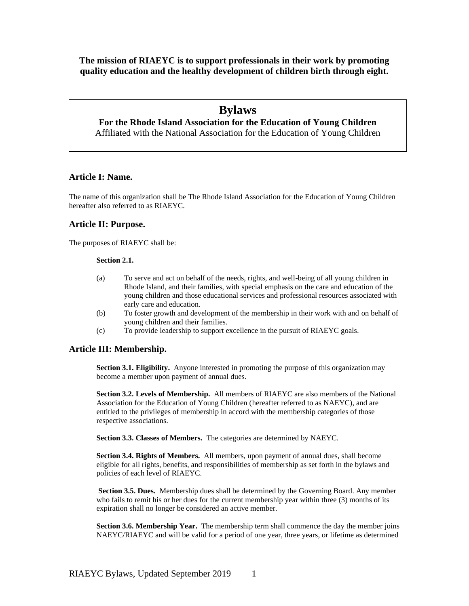**The mission of RIAEYC is to support professionals in their work by promoting quality education and the healthy development of children birth through eight.**

# **Bylaws**

**For the Rhode Island Association for the Education of Young Children** Affiliated with the National Association for the Education of Young Children

# **Article I: Name.**

The name of this organization shall be The Rhode Island Association for the Education of Young Children hereafter also referred to as RIAEYC.

### **Article II: Purpose.**

The purposes of RIAEYC shall be:

#### **Section 2.1.**

- (a) To serve and act on behalf of the needs, rights, and well-being of all young children in Rhode Island, and their families, with special emphasis on the care and education of the young children and those educational services and professional resources associated with early care and education.
- (b) To foster growth and development of the membership in their work with and on behalf of young children and their families.
- (c) To provide leadership to support excellence in the pursuit of RIAEYC goals.

### **Article III: Membership.**

**Section 3.1. Eligibility.** Anyone interested in promoting the purpose of this organization may become a member upon payment of annual dues.

**Section 3.2. Levels of Membership.** All members of RIAEYC are also members of the National Association for the Education of Young Children (hereafter referred to as NAEYC), and are entitled to the privileges of membership in accord with the membership categories of those respective associations.

**Section 3.3. Classes of Members.** The categories are determined by NAEYC.

**Section 3.4. Rights of Members.** All members, upon payment of annual dues, shall become eligible for all rights, benefits, and responsibilities of membership as set forth in the bylaws and policies of each level of RIAEYC.

**Section 3.5. Dues.** Membership dues shall be determined by the Governing Board. Any member who fails to remit his or her dues for the current membership year within three (3) months of its expiration shall no longer be considered an active member.

**Section 3.6. Membership Year.** The membership term shall commence the day the member joins NAEYC/RIAEYC and will be valid for a period of one year, three years, or lifetime as determined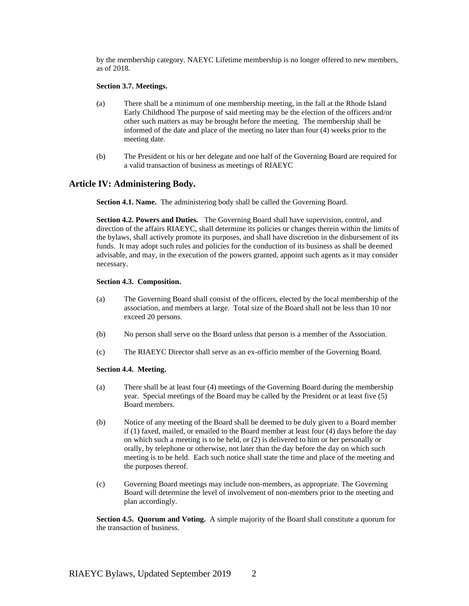by the membership category. NAEYC Lifetime membership is no longer offered to new members, as of 2018.

#### **Section 3.7. Meetings.**

- (a) There shall be a minimum of one membership meeting, in the fall at the Rhode Island Early Childhood The purpose of said meeting may be the election of the officers and/or other such matters as may be brought before the meeting. The membership shall be informed of the date and place of the meeting no later than four (4) weeks prior to the meeting date.
- (b) The President or his or her delegate and one half of the Governing Board are required for a valid transaction of business as meetings of RIAEYC

### **Article IV: Administering Body.**

**Section 4.1. Name.** The administering body shall be called the Governing Board.

**Section 4.2. Powers and Duties.** The Governing Board shall have supervision, control, and direction of the affairs RIAEYC, shall determine its policies or changes therein within the limits of the bylaws, shall actively promote its purposes, and shall have discretion in the disbursement of its funds. It may adopt such rules and policies for the conduction of its business as shall be deemed advisable, and may, in the execution of the powers granted, appoint such agents as it may consider necessary.

### **Section 4.3. Composition.**

- (a) The Governing Board shall consist of the officers, elected by the local membership of the association, and members at large. Total size of the Board shall not be less than 10 nor exceed 20 persons.
- (b) No person shall serve on the Board unless that person is a member of the Association.
- (c) The RIAEYC Director shall serve as an ex-officio member of the Governing Board.

#### **Section 4.4. Meeting.**

- (a) There shall be at least four (4) meetings of the Governing Board during the membership year. Special meetings of the Board may be called by the President or at least five (5) Board members.
- (b) Notice of any meeting of the Board shall be deemed to be duly given to a Board member if (1) faxed, mailed, or emailed to the Board member at least four (4) days before the day on which such a meeting is to be held, or (2) is delivered to him or her personally or orally, by telephone or otherwise, not later than the day before the day on which such meeting is to be held. Each such notice shall state the time and place of the meeting and the purposes thereof.
- (c) Governing Board meetings may include non-members, as appropriate. The Governing Board will determine the level of involvement of non-members prior to the meeting and plan accordingly.

**Section 4.5. Quorum and Voting.** A simple majority of the Board shall constitute a quorum for the transaction of business.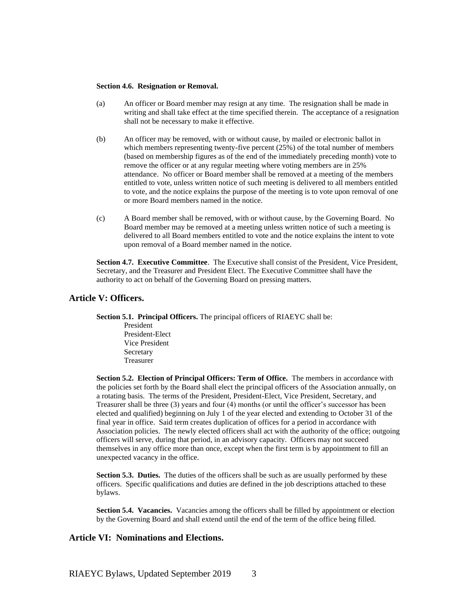#### **Section 4.6. Resignation or Removal.**

- (a) An officer or Board member may resign at any time. The resignation shall be made in writing and shall take effect at the time specified therein. The acceptance of a resignation shall not be necessary to make it effective.
- (b) An officer may be removed, with or without cause, by mailed or electronic ballot in which members representing twenty-five percent (25%) of the total number of members (based on membership figures as of the end of the immediately preceding month) vote to remove the officer or at any regular meeting where voting members are in 25% attendance. No officer or Board member shall be removed at a meeting of the members entitled to vote, unless written notice of such meeting is delivered to all members entitled to vote, and the notice explains the purpose of the meeting is to vote upon removal of one or more Board members named in the notice.
- (c) A Board member shall be removed, with or without cause, by the Governing Board. No Board member may be removed at a meeting unless written notice of such a meeting is delivered to all Board members entitled to vote and the notice explains the intent to vote upon removal of a Board member named in the notice.

**Section 4.7. Executive Committee**. The Executive shall consist of the President, Vice President, Secretary, and the Treasurer and President Elect. The Executive Committee shall have the authority to act on behalf of the Governing Board on pressing matters.

### **Article V: Officers.**

**Section 5.1. Principal Officers.** The principal officers of RIAEYC shall be:

President President-Elect Vice President Secretary Treasurer

**Section 5.2. Election of Principal Officers: Term of Office.** The members in accordance with the policies set forth by the Board shall elect the principal officers of the Association annually, on a rotating basis. The terms of the President, President-Elect, Vice President, Secretary, and Treasurer shall be three (3) years and four (4) months (or until the officer's successor has been elected and qualified) beginning on July 1 of the year elected and extending to October 31 of the final year in office. Said term creates duplication of offices for a period in accordance with Association policies. The newly elected officers shall act with the authority of the office; outgoing officers will serve, during that period, in an advisory capacity. Officers may not succeed themselves in any office more than once, except when the first term is by appointment to fill an unexpected vacancy in the office.

**Section 5.3. Duties.** The duties of the officers shall be such as are usually performed by these officers. Specific qualifications and duties are defined in the job descriptions attached to these bylaws.

**Section 5.4. Vacancies.** Vacancies among the officers shall be filled by appointment or election by the Governing Board and shall extend until the end of the term of the office being filled.

### **Article VI: Nominations and Elections.**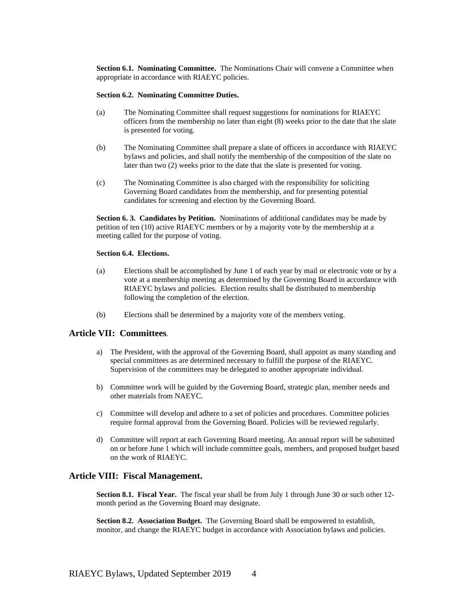**Section 6.1. Nominating Committee.** The Nominations Chair will convene a Committee when appropriate in accordance with RIAEYC policies.

#### **Section 6.2. Nominating Committee Duties.**

- (a) The Nominating Committee shall request suggestions for nominations for RIAEYC officers from the membership no later than eight (8) weeks prior to the date that the slate is presented for voting.
- (b) The Nominating Committee shall prepare a slate of officers in accordance with RIAEYC bylaws and policies, and shall notify the membership of the composition of the slate no later than two (2) weeks prior to the date that the slate is presented for voting.
- (c) The Nominating Committee is also charged with the responsibility for soliciting Governing Board candidates from the membership, and for presenting potential candidates for screening and election by the Governing Board.

**Section 6. 3. Candidates by Petition.** Nominations of additional candidates may be made by petition of ten (10) active RIAEYC members or by a majority vote by the membership at a meeting called for the purpose of voting.

### **Section 6.4. Elections.**

- (a) Elections shall be accomplished by June 1 of each year by mail or electronic vote or by a vote at a membership meeting as determined by the Governing Board in accordance with RIAEYC bylaws and policies. Election results shall be distributed to membership following the completion of the election.
- (b) Elections shall be determined by a majority vote of the members voting.

### **Article VII: Committees**.

- a) The President, with the approval of the Governing Board, shall appoint as many standing and special committees as are determined necessary to fulfill the purpose of the RIAEYC. Supervision of the committees may be delegated to another appropriate individual.
- b) Committee work will be guided by the Governing Board, strategic plan, member needs and other materials from NAEYC.
- c) Committee will develop and adhere to a set of policies and procedures. Committee policies require formal approval from the Governing Board. Policies will be reviewed regularly.
- d) Committee will report at each Governing Board meeting. An annual report will be submitted on or before June 1 which will include committee goals, members, and proposed budget based on the work of RIAEYC.

### **Article VIII: Fiscal Management.**

**Section 8.1. Fiscal Year.** The fiscal year shall be from July 1 through June 30 or such other 12 month period as the Governing Board may designate.

**Section 8.2. Association Budget.** The Governing Board shall be empowered to establish, monitor, and change the RIAEYC budget in accordance with Association bylaws and policies.